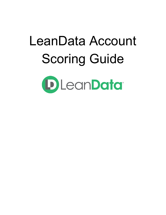# LeanData Account Scoring GuideDLeanData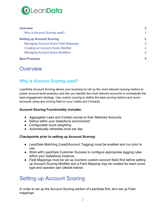

| <b>Overview</b>                              | $\mathbf{2}$   |
|----------------------------------------------|----------------|
| Why is Account Scoring used?                 | 2              |
| <b>Setting up Account Scoring</b>            | $\mathbf{2}$   |
| <b>Managing Account Score Field Mappings</b> | 3              |
| <b>Creating an Account Score Modifier</b>    | $\overline{4}$ |
| <b>Managing Account Score Modifiers</b>      | $\overline{4}$ |
| <b>Best Practices</b>                        | 5              |

# <span id="page-1-0"></span>**Overview**

## <span id="page-1-1"></span>Why is Account Scoring used?

LeanData Account Scoring allows your business to roll up the most relevant scoring metrics to power account-level analytics and lets you identify the most relevant accounts to orchestrate the best engagement strategy. Use custom scoring to define the best scoring metrics and score accounts using any scoring field on your Leads and Contacts.

#### **Account Scoring Functionality includes:**

- Aggregates Lead and Contact scores to their Matched Accounts
- Native within your Salesforce environment
- Configurable score weighting
- Automatically refreshes once per day

#### **Checkpoints prior to setting up Account Scoring:**

- LeanData Matching (Lead2Account Tagging) must be enabled and run prior to use.
- Work with LeanData Customer Success to configure appropriate tagging rules within your Salesforce instance.
- Field Mappings must be set up (numeric custom account field) first before setting up Account Scoring Modifier and a Field Mapping may be created for each score type and operator pair (details below).

# <span id="page-1-2"></span>Setting up Account Scoring

In order to set up the Account Scoring section of LeanData first, let's set up Field mappings.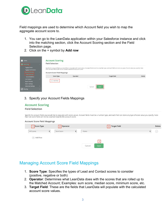

Field mappings are used to determine which Account field you wish to map the aggregate account score to.

- 1. You can go to the LeanData application within your Salesforce instance and click into the matching section, click the Account Scoring section and the Field Selection page.
- 2. Click on the + symbol by **Add row**

| <b>N</b> Home<br><b>O</b> Matching                                                                       |        | <b>Account Scoring</b><br><b>Field Selection</b>                                                             |          |                                                                                                                                                                                   |               |
|----------------------------------------------------------------------------------------------------------|--------|--------------------------------------------------------------------------------------------------------------|----------|-----------------------------------------------------------------------------------------------------------------------------------------------------------------------------------|---------------|
| <b>Tagging Finder</b><br><b>Tagging Tie-Breakers</b><br><b>Account Scoring</b><br><b>Field Selection</b> | $\sim$ | that null score fields will not be counted towards the account score.<br><b>Account Score Field Mappings</b> |          | Specify the account fields you would like to populate with score values. Account fields must be a number type, and each field can store any type of score value you specify. Note |               |
| Score Modifiers                                                                                          |        | <b>Score Type</b>                                                                                            | Operator | <b>Target Field</b>                                                                                                                                                               | <b>Delete</b> |
| List Analyzer<br><b>Buyer Persona</b><br><b>Match Settings</b><br><b>Advanced Settings</b>               |        | $(+)$ Add Row                                                                                                |          | Save<br>Cancel                                                                                                                                                                    |               |
| $\bigodot$ Routing                                                                                       |        |                                                                                                              |          |                                                                                                                                                                                   |               |

#### 3. Specify your Account Fields Mappings

#### **Account Scoring Field Selection**

Specify the account fields you would like to populate with score values. Account fields must be a number type, and each field can store any type of score value you specify. Note<br>that null score fields will not be counted t

| <b>Account Score Field Mappings</b> |                        |                    |                |   |        |
|-------------------------------------|------------------------|--------------------|----------------|---|--------|
| $\sqrt{1}$ Score Type               | 2 Operator             |                    | 3 Target Field |   | Delete |
| All Scores                          | Sum Score<br>$\bullet$ | --None--<br>▴<br>▼ |                | ÷ | Ξ.     |
| $(+)$ Add Row                       |                        |                    | 4              |   |        |
|                                     |                        | Cancel             | Save           |   |        |

## <span id="page-2-0"></span>Managing Account Score Field Mappings

- 1. **Score Type**: Specifies the types of Lead and Contact scores to consider (positive, negative or both)
- 2. **Operator**: Determines what LeanData does with the scores that are rolled up to the Matched Account; Examples: sum score, median score, minimum score, etc.
- 3. **Target Field**: These are the fields that LeanData will populate with the calculated account score values.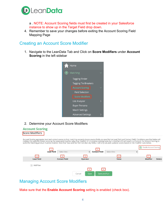

a . NOTE: Account Scoring fields must first be created in your Salesforce instance to show up in the Target Field drop down.

4. Remember to save your changes before exiting the Account Scoring Field Mapping Page

### <span id="page-3-0"></span>Creating an Account Score Modifier

1. Navigate to the LeanData Tab and Click on **Score Modifiers** under **Account Scoring** in the left sidebar



2. Determine your Account Score Modifiers



## <span id="page-3-1"></span>Managing Account Score Modifiers

Make sure that the **Enable Account Scoring** setting is enabled (check box).